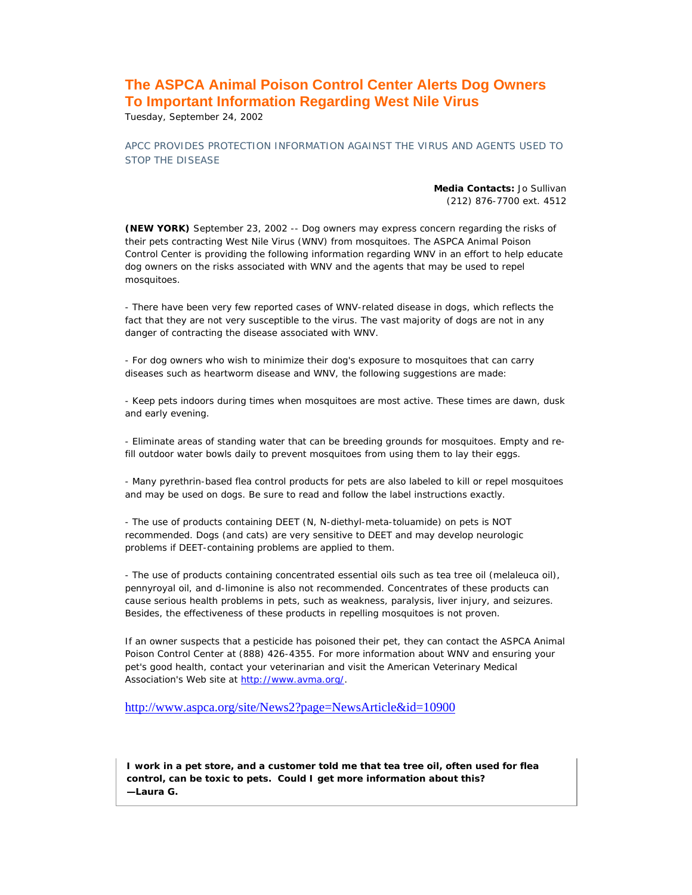## **The ASPCA Animal Poison Control Center Alerts Dog Owners To Important Information Regarding West Nile Virus**

Tuesday, September 24, 2002

APCC PROVIDES PROTECTION INFORMATION AGAINST THE VIRUS AND AGENTS USED TO STOP THE DISEASE

> **Media Contacts:** Jo Sullivan (212) 876-7700 ext. 4512

**(NEW YORK)** September 23, 2002 -- Dog owners may express concern regarding the risks of their pets contracting West Nile Virus (WNV) from mosquitoes. The ASPCA Animal Poison Control Center is providing the following information regarding WNV in an effort to help educate dog owners on the risks associated with WNV and the agents that may be used to repel mosquitoes.

- There have been very few reported cases of WNV-related disease in dogs, which reflects the fact that they are not very susceptible to the virus. The vast majority of dogs are not in any danger of contracting the disease associated with WNV.

- For dog owners who wish to minimize their dog's exposure to mosquitoes that can carry diseases such as heartworm disease and WNV, the following suggestions are made:

- Keep pets indoors during times when mosquitoes are most active. These times are dawn, dusk and early evening.

- Eliminate areas of standing water that can be breeding grounds for mosquitoes. Empty and refill outdoor water bowls daily to prevent mosquitoes from using them to lay their eggs.

- Many pyrethrin-based flea control products for pets are also labeled to kill or repel mosquitoes and may be used on dogs. Be sure to read and follow the label instructions exactly.

- The use of products containing DEET (N, N-diethyl-meta-toluamide) on pets is NOT recommended. Dogs (and cats) are very sensitive to DEET and may develop neurologic problems if DEET-containing problems are applied to them.

- The use of products containing concentrated essential oils such as tea tree oil (melaleuca oil), pennyroyal oil, and d-limonine is also not recommended. Concentrates of these products can cause serious health problems in pets, such as weakness, paralysis, liver injury, and seizures. Besides, the effectiveness of these products in repelling mosquitoes is not proven.

If an owner suspects that a pesticide has poisoned their pet, they can contact the ASPCA Animal Poison Control Center at (888) 426-4355. For more information about WNV and ensuring your pet's good health, contact your veterinarian and visit the American Veterinary Medical Association's Web site at http://www.avma.org/.

http://www.aspca.org/site/News2?page=NewsArticle&id=10900

**I work in a pet store, and a customer told me that tea tree oil, often used for flea control, can be toxic to pets. Could I get more information about this?**  *—Laura G.*